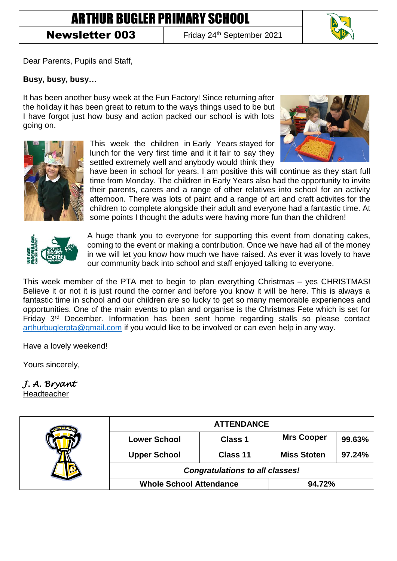## ARTHUR BUGLER PRIMARY SCHOOL

## **Newsletter 003** Friday 24<sup>th</sup> September 2021

Dear Parents, Pupils and Staff,

## **Busy, busy, busy…**

It has been another busy week at the Fun Factory! Since returning after the holiday it has been great to return to the ways things used to be but I have forgot just how busy and action packed our school is with lots going on.



This week the children in Early Years stayed for lunch for the very first time and it it fair to say they settled extremely well and anybody would think they



have been in school for years. I am positive this will continue as they start full time from Monday. The children in Early Years also had the opportunity to invite their parents, carers and a range of other relatives into school for an activity afternoon. There was lots of paint and a range of art and craft activites for the children to complete alongside their adult and everyone had a fantastic time. At some points I thought the adults were having more fun than the children!



A huge thank you to everyone for supporting this event from donating cakes, coming to the event or making a contribution. Once we have had all of the money in we will let you know how much we have raised. As ever it was lovely to have our community back into school and staff enjoyed talking to everyone.

This week member of the PTA met to begin to plan everything Christmas – yes CHRISTMAS! Believe it or not it is just round the corner and before you know it will be here. This is always a fantastic time in school and our children are so lucky to get so many memorable experiences and opportunities. One of the main events to plan and organise is the Christmas Fete which is set for Friday 3rd December. Information has been sent home regarding stalls so please contact [arthurbuglerpta@gmail.com](mailto:arthurbuglerpta@gmail.com) if you would like to be involved or can even help in any way.

Have a lovely weekend!

Yours sincerely,

*J. A. Bryant* 

Headteacher

|                                | <b>ATTENDANCE</b>                      |                    |        |
|--------------------------------|----------------------------------------|--------------------|--------|
| <b>Lower School</b>            | <b>Class 1</b>                         | <b>Mrs Cooper</b>  | 99.63% |
| <b>Upper School</b>            | Class 11                               | <b>Miss Stoten</b> | 97.24% |
|                                | <b>Congratulations to all classes!</b> |                    |        |
| <b>Whole School Attendance</b> |                                        | 94.72%             |        |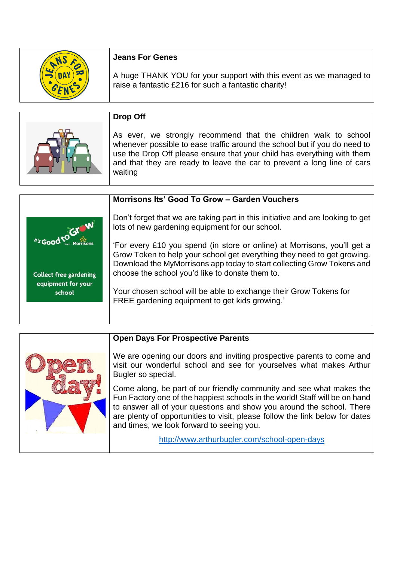| <b>Jeans For Genes</b>                                                                                                     |
|----------------------------------------------------------------------------------------------------------------------------|
| A huge THANK YOU for your support with this event as we managed to<br>raise a fantastic £216 for such a fantastic charity! |

| Drop Off                                                                                                                                                                                                                                                                                                      |
|---------------------------------------------------------------------------------------------------------------------------------------------------------------------------------------------------------------------------------------------------------------------------------------------------------------|
| As ever, we strongly recommend that the children walk to school<br>whenever possible to ease traffic around the school but if you do need to<br>use the Drop Off please ensure that your child has everything with them<br>and that they are ready to leave the car to prevent a long line of cars<br>waiting |

|                               | Morrisons Its' Good To Grow - Garden Vouchers                                                                                                                                                                                                                                    |
|-------------------------------|----------------------------------------------------------------------------------------------------------------------------------------------------------------------------------------------------------------------------------------------------------------------------------|
| N's Good to GIOW              | Don't forget that we are taking part in this initiative and are looking to get<br>lots of new gardening equipment for our school.                                                                                                                                                |
| <b>Collect free gardening</b> | 'For every £10 you spend (in store or online) at Morrisons, you'll get a<br>Grow Token to help your school get everything they need to get growing.<br>Download the MyMorrisons app today to start collecting Grow Tokens and<br>choose the school you'd like to donate them to. |
| equipment for your<br>school  | Your chosen school will be able to exchange their Grow Tokens for<br>FREE gardening equipment to get kids growing.'                                                                                                                                                              |

| <b>Open Days For Prospective Parents</b>                                                                                                                                                                                                                                                                                                                  |
|-----------------------------------------------------------------------------------------------------------------------------------------------------------------------------------------------------------------------------------------------------------------------------------------------------------------------------------------------------------|
| We are opening our doors and inviting prospective parents to come and<br>visit our wonderful school and see for yourselves what makes Arthur<br>Bugler so special.                                                                                                                                                                                        |
| Come along, be part of our friendly community and see what makes the<br>Fun Factory one of the happiest schools in the world! Staff will be on hand<br>to answer all of your questions and show you around the school. There<br>are plenty of opportunities to visit, please follow the link below for dates<br>and times, we look forward to seeing you. |
| http://www.arthurbugler.com/school-open-days                                                                                                                                                                                                                                                                                                              |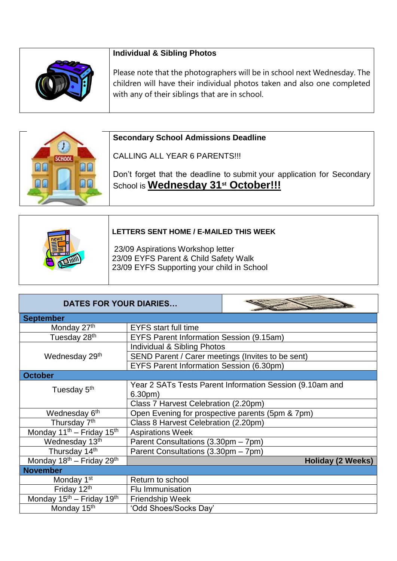| <b>Individual &amp; Sibling Photos</b>                                                                                                                                                                |
|-------------------------------------------------------------------------------------------------------------------------------------------------------------------------------------------------------|
| Please note that the photographers will be in school next Wednesday. The<br>children will have their individual photos taken and also one completed<br>with any of their siblings that are in school. |

|               | <b>Secondary School Admissions Deadline</b>                                                                                |
|---------------|----------------------------------------------------------------------------------------------------------------------------|
| <b>SCHOOL</b> | CALLING ALL YEAR 6 PARENTS!!!                                                                                              |
|               | Don't forget that the deadline to submit your application for Secondary<br>School is Wednesday 31 <sup>st</sup> October!!! |

| LETTERS SENT HOME / E-MAILED THIS WEEK                                                                                   |
|--------------------------------------------------------------------------------------------------------------------------|
| 23/09 Aspirations Workshop letter<br>23/09 EYFS Parent & Child Safety Walk<br>23/09 EYFS Supporting your child in School |

 $\Gamma$ 

| <b>DATES FOR YOUR DIARIES</b>                     |                                                          |                          |
|---------------------------------------------------|----------------------------------------------------------|--------------------------|
| <b>September</b>                                  |                                                          |                          |
| Monday 27th                                       | <b>EYFS</b> start full time                              |                          |
| Tuesday 28 <sup>th</sup>                          | <b>EYFS Parent Information Session (9.15am)</b>          |                          |
|                                                   | Individual & Sibling Photos                              |                          |
| Wednesday 29 <sup>th</sup>                        | SEND Parent / Carer meetings (Invites to be sent)        |                          |
|                                                   | EYFS Parent Information Session (6.30pm)                 |                          |
| <b>October</b>                                    |                                                          |                          |
| Tuesday 5 <sup>th</sup>                           | Year 2 SATs Tests Parent Information Session (9.10am and |                          |
|                                                   | 6.30 <sub>pm</sub>                                       |                          |
|                                                   | Class 7 Harvest Celebration (2.20pm)                     |                          |
| Wednesday 6 <sup>th</sup>                         | Open Evening for prospective parents (5pm & 7pm)         |                          |
| Thursday 7 <sup>th</sup>                          | Class 8 Harvest Celebration (2.20pm)                     |                          |
| Monday 11 <sup>th</sup> - Friday 15 <sup>th</sup> | <b>Aspirations Week</b>                                  |                          |
| Wednesday 13th                                    | Parent Consultations (3.30pm - 7pm)                      |                          |
| Thursday 14th                                     | Parent Consultations (3.30pm - 7pm)                      |                          |
| Monday 18 <sup>th</sup> - Friday 29 <sup>th</sup> |                                                          | <b>Holiday (2 Weeks)</b> |
| <b>November</b>                                   |                                                          |                          |
| Monday 1 <sup>st</sup>                            | Return to school                                         |                          |
| Friday 12th                                       | Flu Immunisation                                         |                          |
| Monday 15 <sup>th</sup> – Friday 19 <sup>th</sup> | <b>Friendship Week</b>                                   |                          |
| Monday 15 <sup>th</sup>                           | 'Odd Shoes/Socks Day'                                    |                          |